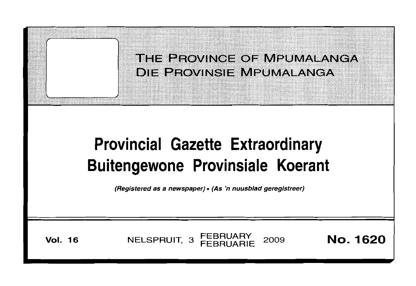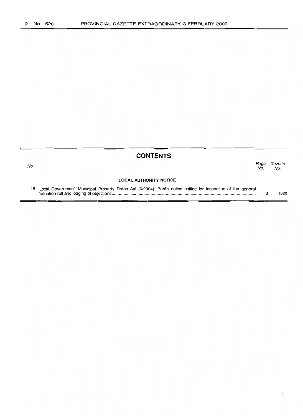|     | <b>CONTENTS</b>                                                                                                 |             |                |
|-----|-----------------------------------------------------------------------------------------------------------------|-------------|----------------|
| No. |                                                                                                                 | Page<br>No. | Gazette<br>No. |
|     | <b>LOCAL AUTHORITY NOTICE</b>                                                                                   |             |                |
|     | 15 Local Government: Municipal Property Rates Act (6/2004): Public notice calling for inspection of the general | 3           | 1620           |

 $\mathcal{L}^{(1)}$